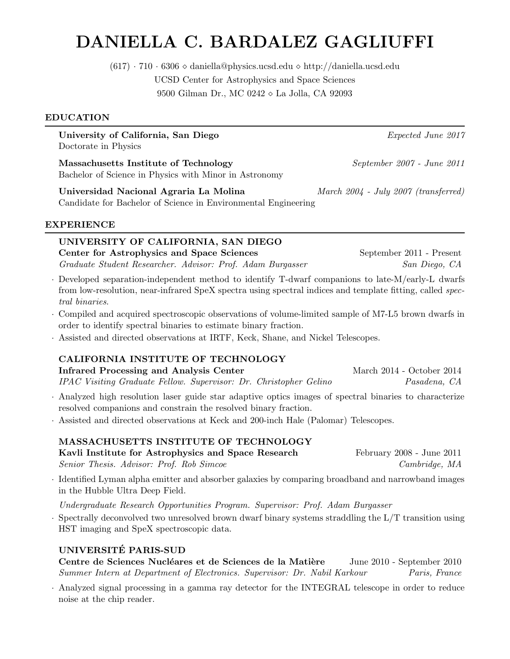# DANIELLA C. BARDALEZ GAGLIUFFI

 $(617) \cdot 710 \cdot 6306 \diamond$  daniella@physics.ucsd.edu  $\diamond$  http://daniella.ucsd.edu UCSD Center for Astrophysics and Space Sciences 9500 Gilman Dr., MC 0242 ◇ La Jolla, CA 92093

### EDUCATION

University of California, San Diego *Expected June 2017* Doctorate in Physics

Massachusetts Institute of Technology *September 2007 - June 2011* Bachelor of Science in Physics with Minor in Astronomy

Universidad Nacional Agraria La Molina *March 2004 - July 2007 (transferred)* Candidate for Bachelor of Science in Environmental Engineering

### EXPERIENCE

# UNIVERSITY OF CALIFORNIA, SAN DIEGO Center for Astrophysics and Space Sciences September 2011 - Present

*Graduate Student Researcher. Advisor: Prof. Adam Burgasser San Diego, CA*

- · Developed separation-independent method to identify T-dwarf companions to late-M/early-L dwarfs from low-resolution, near-infrared SpeX spectra using spectral indices and template fitting, called *spectral binaries*.
- · Compiled and acquired spectroscopic observations of volume-limited sample of M7-L5 brown dwarfs in order to identify spectral binaries to estimate binary fraction.
- · Assisted and directed observations at IRTF, Keck, Shane, and Nickel Telescopes.

# CALIFORNIA INSTITUTE OF TECHNOLOGY

Infrared Processing and Analysis Center March 2014 - October 2014 *IPAC Visiting Graduate Fellow. Supervisor: Dr. Christopher Gelino Pasadena, CA*

- · Analyzed high resolution laser guide star adaptive optics images of spectral binaries to characterize resolved companions and constrain the resolved binary fraction.
- · Assisted and directed observations at Keck and 200-inch Hale (Palomar) Telescopes.

# MASSACHUSETTS INSTITUTE OF TECHNOLOGY

Kavli Institute for Astrophysics and Space Research February 2008 - June 2011 *Senior Thesis. Advisor: Prof. Rob Simcoe Cambridge, MA*

· Identified Lyman alpha emitter and absorber galaxies by comparing broadband and narrowband images in the Hubble Ultra Deep Field.

*Undergraduate Research Opportunities Program. Supervisor: Prof. Adam Burgasser*

Spectrally deconvolved two unresolved brown dwarf binary systems straddling the L/T transition using HST imaging and SpeX spectroscopic data.

# UNIVERSITE PARIS-SUD ´

Centre de Sciences Nucléares et de Sciences de la Matière June 2010 - September 2010 *Summer Intern at Department of Electronics. Supervisor: Dr. Nabil Karkour Paris, France*

· Analyzed signal processing in a gamma ray detector for the INTEGRAL telescope in order to reduce noise at the chip reader.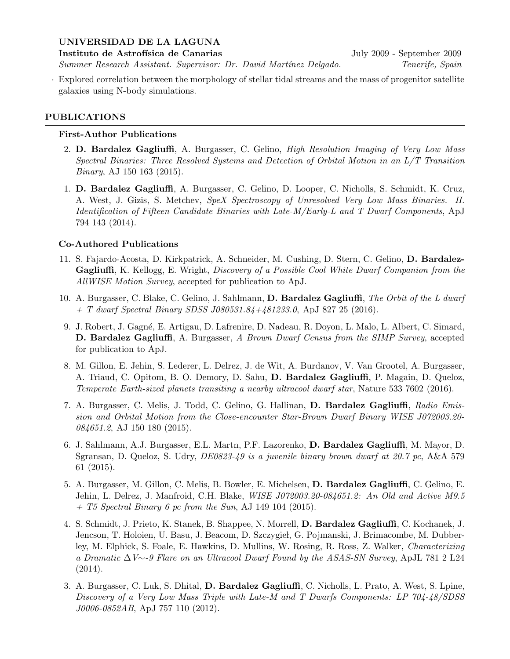### UNIVERSIDAD DE LA LAGUNA

Instituto de Astrofísica de Canarias July 2009 - September 2009

*Summer Research Assistant. Supervisor: Dr. David Mart´ınez Delgado. Tenerife, Spain*

· Explored correlation between the morphology of stellar tidal streams and the mass of progenitor satellite galaxies using N-body simulations.

### PUBLICATIONS

### First-Author Publications

- 2. D. Bardalez Gagliuffi, A. Burgasser, C. Gelino, *High Resolution Imaging of Very Low Mass Spectral Binaries: Three Resolved Systems and Detection of Orbital Motion in an L/T Transition Binary*, AJ 150 163 (2015).
- 1. D. Bardalez Gagliuffi, A. Burgasser, C. Gelino, D. Looper, C. Nicholls, S. Schmidt, K. Cruz, A. West, J. Gizis, S. Metchev, *SpeX Spectroscopy of Unresolved Very Low Mass Binaries. II. Identification of Fifteen Candidate Binaries with Late-M/Early-L and T Dwarf Components*, ApJ 794 143 (2014).

### Co-Authored Publications

- 11. S. Fajardo-Acosta, D. Kirkpatrick, A. Schneider, M. Cushing, D. Stern, C. Gelino, D. Bardalez-Gagliuffi, K. Kellogg, E. Wright, *Discovery of a Possible Cool White Dwarf Companion from the AllWISE Motion Survey*, accepted for publication to ApJ.
- 10. A. Burgasser, C. Blake, C. Gelino, J. Sahlmann, D. Bardalez Gagliuffi, *The Orbit of the L dwarf + T dwarf Spectral Binary SDSS J080531.84+481233.0*, ApJ 827 25 (2016).
- 9. J. Robert, J. Gagn´e, E. Artigau, D. Lafrenire, D. Nadeau, R. Doyon, L. Malo, L. Albert, C. Simard, D. Bardalez Gagliuffi, A. Burgasser, *A Brown Dwarf Census from the SIMP Survey*, accepted for publication to ApJ.
- 8. M. Gillon, E. Jehin, S. Lederer, L. Delrez, J. de Wit, A. Burdanov, V. Van Grootel, A. Burgasser, A. Triaud, C. Opitom, B. O. Demory, D. Sahu, D. Bardalez Gagliuffi, P. Magain, D. Queloz, *Temperate Earth-sized planets transiting a nearby ultracool dwarf star*, Nature 533 7602 (2016).
- 7. A. Burgasser, C. Melis, J. Todd, C. Gelino, G. Hallinan, D. Bardalez Gagliuffi, *Radio Emission and Orbital Motion from the Close-encounter Star-Brown Dwarf Binary WISE J072003.20- 084651.2*, AJ 150 180 (2015).
- 6. J. Sahlmann, A.J. Burgasser, E.L. Martn, P.F. Lazorenko, D. Bardalez Gagliuffi, M. Mayor, D. Sgransan, D. Queloz, S. Udry, *DE0823-49 is a juvenile binary brown dwarf at 20.7 pc*, A&A 579 61 (2015).
- 5. A. Burgasser, M. Gillon, C. Melis, B. Bowler, E. Michelsen, D. Bardalez Gagliuffi, C. Gelino, E. Jehin, L. Delrez, J. Manfroid, C.H. Blake, *WISE J072003.20-084651.2: An Old and Active M9.5 + T5 Spectral Binary 6 pc from the Sun*, AJ 149 104 (2015).
- 4. S. Schmidt, J. Prieto, K. Stanek, B. Shappee, N. Morrell, D. Bardalez Gagliuffi, C. Kochanek, J. Jencson, T. Holoien, U. Basu, J. Beacom, D. Szczygieł, G. Pojmanski, J. Brimacombe, M. Dubberley, M. Elphick, S. Foale, E. Hawkins, D. Mullins, W. Rosing, R. Ross, Z. Walker, *Characterizing a Dramatic* ∆*V*∼*-9 Flare on an Ultracool Dwarf Found by the ASAS-SN Survey*, ApJL 781 2 L24 (2014).
- 3. A. Burgasser, C. Luk, S. Dhital, D. Bardalez Gagliuffi, C. Nicholls, L. Prato, A. West, S. Lpine, *Discovery of a Very Low Mass Triple with Late-M and T Dwarfs Components: LP 704-48/SDSS J0006-0852AB*, ApJ 757 110 (2012).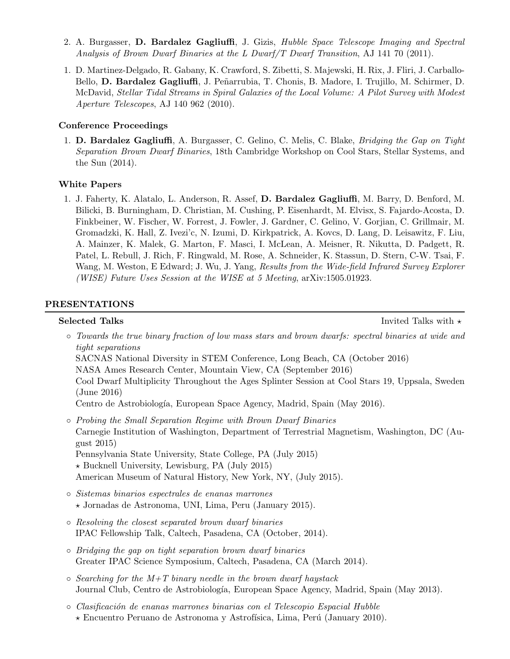- 2. A. Burgasser, D. Bardalez Gagliuffi, J. Gizis, *Hubble Space Telescope Imaging and Spectral Analysis of Brown Dwarf Binaries at the L Dwarf/T Dwarf Transition*, AJ 141 70 (2011).
- 1. D. Martinez-Delgado, R. Gabany, K. Crawford, S. Zibetti, S. Majewski, H. Rix, J. Fliri, J. Carballo-Bello, D. Bardalez Gagliuffi, J. Peñarrubia, T. Chonis, B. Madore, I. Trujillo, M. Schirmer, D. McDavid, *Stellar Tidal Streams in Spiral Galaxies of the Local Volume: A Pilot Survey with Modest Aperture Telescopes*, AJ 140 962 (2010).

### Conference Proceedings

1. D. Bardalez Gagliuffi, A. Burgasser, C. Gelino, C. Melis, C. Blake, *Bridging the Gap on Tight Separation Brown Dwarf Binaries*, 18th Cambridge Workshop on Cool Stars, Stellar Systems, and the Sun (2014).

# White Papers

1. J. Faherty, K. Alatalo, L. Anderson, R. Assef, D. Bardalez Gagliuffi, M. Barry, D. Benford, M. Bilicki, B. Burningham, D. Christian, M. Cushing, P. Eisenhardt, M. Elvisx, S. Fajardo-Acosta, D. Finkbeiner, W. Fischer, W. Forrest, J. Fowler, J. Gardner, C. Gelino, V. Gorjian, C. Grillmair, M. Gromadzki, K. Hall, Z. Ivezi'c, N. Izumi, D. Kirkpatrick, A. Kovcs, D. Lang, D. Leisawitz, F. Liu, A. Mainzer, K. Malek, G. Marton, F. Masci, I. McLean, A. Meisner, R. Nikutta, D. Padgett, R. Patel, L. Rebull, J. Rich, F. Ringwald, M. Rose, A. Schneider, K. Stassun, D. Stern, C-W. Tsai, F. Wang, M. Weston, E Edward; J. Wu, J. Yang, *Results from the Wide-field Infrared Survey Explorer (WISE) Future Uses Session at the WISE at 5 Meeting*, arXiv:1505.01923.

# PRESENTATIONS

Selected Talks **Invited Talks** Invited Talks with  $\star$ 

◦ *Towards the true binary fraction of low mass stars and brown dwarfs: spectral binaries at wide and tight separations*

SACNAS National Diversity in STEM Conference, Long Beach, CA (October 2016)

NASA Ames Research Center, Mountain View, CA (September 2016)

Cool Dwarf Multiplicity Throughout the Ages Splinter Session at Cool Stars 19, Uppsala, Sweden (June 2016)

Centro de Astrobiología, European Space Agency, Madrid, Spain (May 2016).

- *Probing the Small Separation Regime with Brown Dwarf Binaries* Carnegie Institution of Washington, Department of Terrestrial Magnetism, Washington, DC (August 2015) Pennsylvania State University, State College, PA (July 2015)  $\star$  Bucknell University, Lewisburg, PA (July 2015) American Museum of Natural History, New York, NY, (July 2015).
- *Sistemas binarios espectrales de enanas marrones* ⋆ Jornadas de Astronoma, UNI, Lima, Peru (January 2015).
- *Resolving the closest separated brown dwarf binaries* IPAC Fellowship Talk, Caltech, Pasadena, CA (October, 2014).
- *Bridging the gap on tight separation brown dwarf binaries* Greater IPAC Science Symposium, Caltech, Pasadena, CA (March 2014).
- *Searching for the M+T binary needle in the brown dwarf haystack* Journal Club, Centro de Astrobiología, European Space Agency, Madrid, Spain (May 2013).
- *Clasificaci´on de enanas marrones binarias con el Telescopio Espacial Hubble*  $\star$  Encuentro Peruano de Astronoma y Astrofísica, Lima, Perú (January 2010).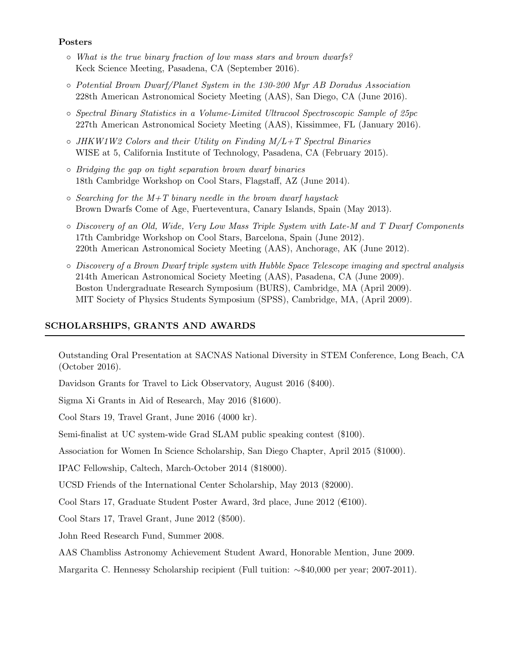### Posters

- *What is the true binary fraction of low mass stars and brown dwarfs?* Keck Science Meeting, Pasadena, CA (September 2016).
- *Potential Brown Dwarf/Planet System in the 130-200 Myr AB Doradus Association* 228th American Astronomical Society Meeting (AAS), San Diego, CA (June 2016).
- *Spectral Binary Statistics in a Volume-Limited Ultracool Spectroscopic Sample of 25pc* 227th American Astronomical Society Meeting (AAS), Kissimmee, FL (January 2016).
- *JHKW1W2 Colors and their Utility on Finding M/L+T Spectral Binaries* WISE at 5, California Institute of Technology, Pasadena, CA (February 2015).
- *Bridging the gap on tight separation brown dwarf binaries* 18th Cambridge Workshop on Cool Stars, Flagstaff, AZ (June 2014).
- *Searching for the M+T binary needle in the brown dwarf haystack* Brown Dwarfs Come of Age, Fuerteventura, Canary Islands, Spain (May 2013).
- *Discovery of an Old, Wide, Very Low Mass Triple System with Late-M and T Dwarf Components* 17th Cambridge Workshop on Cool Stars, Barcelona, Spain (June 2012). 220th American Astronomical Society Meeting (AAS), Anchorage, AK (June 2012).
- *Discovery of a Brown Dwarf triple system with Hubble Space Telescope imaging and spectral analysis* 214th American Astronomical Society Meeting (AAS), Pasadena, CA (June 2009). Boston Undergraduate Research Symposium (BURS), Cambridge, MA (April 2009). MIT Society of Physics Students Symposium (SPSS), Cambridge, MA, (April 2009).

# SCHOLARSHIPS, GRANTS AND AWARDS

Outstanding Oral Presentation at SACNAS National Diversity in STEM Conference, Long Beach, CA (October 2016).

Davidson Grants for Travel to Lick Observatory, August 2016 (\$400).

Sigma Xi Grants in Aid of Research, May 2016 (\$1600).

Cool Stars 19, Travel Grant, June 2016 (4000 kr).

Semi-finalist at UC system-wide Grad SLAM public speaking contest (\$100).

Association for Women In Science Scholarship, San Diego Chapter, April 2015 (\$1000).

IPAC Fellowship, Caltech, March-October 2014 (\$18000).

UCSD Friends of the International Center Scholarship, May 2013 (\$2000).

Cool Stars 17, Graduate Student Poster Award, 3rd place, June 2012 ( $\in$ 100).

Cool Stars 17, Travel Grant, June 2012 (\$500).

John Reed Research Fund, Summer 2008.

AAS Chambliss Astronomy Achievement Student Award, Honorable Mention, June 2009.

Margarita C. Hennessy Scholarship recipient (Full tuition: ∼\$40,000 per year; 2007-2011).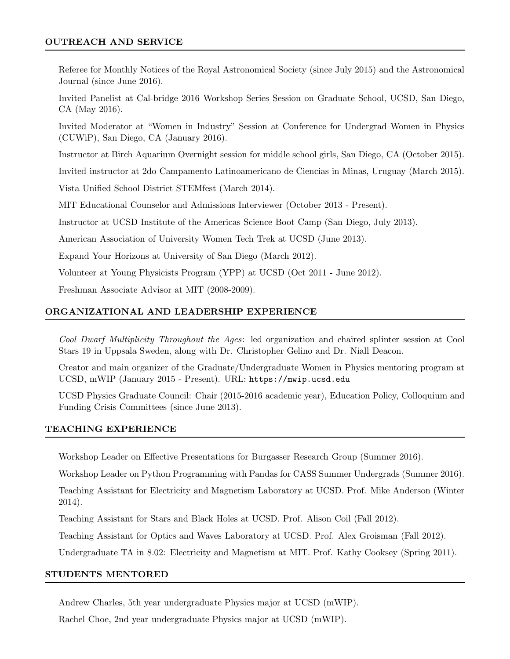### OUTREACH AND SERVICE

Referee for Monthly Notices of the Royal Astronomical Society (since July 2015) and the Astronomical Journal (since June 2016).

Invited Panelist at Cal-bridge 2016 Workshop Series Session on Graduate School, UCSD, San Diego, CA (May 2016).

Invited Moderator at "Women in Industry" Session at Conference for Undergrad Women in Physics (CUWiP), San Diego, CA (January 2016).

Instructor at Birch Aquarium Overnight session for middle school girls, San Diego, CA (October 2015).

Invited instructor at 2do Campamento Latinoamericano de Ciencias in Minas, Uruguay (March 2015).

Vista Unified School District STEMfest (March 2014).

MIT Educational Counselor and Admissions Interviewer (October 2013 - Present).

Instructor at UCSD Institute of the Americas Science Boot Camp (San Diego, July 2013).

American Association of University Women Tech Trek at UCSD (June 2013).

Expand Your Horizons at University of San Diego (March 2012).

Volunteer at Young Physicists Program (YPP) at UCSD (Oct 2011 - June 2012).

Freshman Associate Advisor at MIT (2008-2009).

# ORGANIZATIONAL AND LEADERSHIP EXPERIENCE

*Cool Dwarf Multiplicity Throughout the Ages*: led organization and chaired splinter session at Cool Stars 19 in Uppsala Sweden, along with Dr. Christopher Gelino and Dr. Niall Deacon.

Creator and main organizer of the Graduate/Undergraduate Women in Physics mentoring program at UCSD, mWIP (January 2015 - Present). URL: https://mwip.ucsd.edu

UCSD Physics Graduate Council: Chair (2015-2016 academic year), Education Policy, Colloquium and Funding Crisis Committees (since June 2013).

### TEACHING EXPERIENCE

Workshop Leader on Effective Presentations for Burgasser Research Group (Summer 2016).

Workshop Leader on Python Programming with Pandas for CASS Summer Undergrads (Summer 2016).

Teaching Assistant for Electricity and Magnetism Laboratory at UCSD. Prof. Mike Anderson (Winter 2014).

Teaching Assistant for Stars and Black Holes at UCSD. Prof. Alison Coil (Fall 2012).

Teaching Assistant for Optics and Waves Laboratory at UCSD. Prof. Alex Groisman (Fall 2012).

Undergraduate TA in 8.02: Electricity and Magnetism at MIT. Prof. Kathy Cooksey (Spring 2011).

### STUDENTS MENTORED

Andrew Charles, 5th year undergraduate Physics major at UCSD (mWIP).

Rachel Choe, 2nd year undergraduate Physics major at UCSD (mWIP).